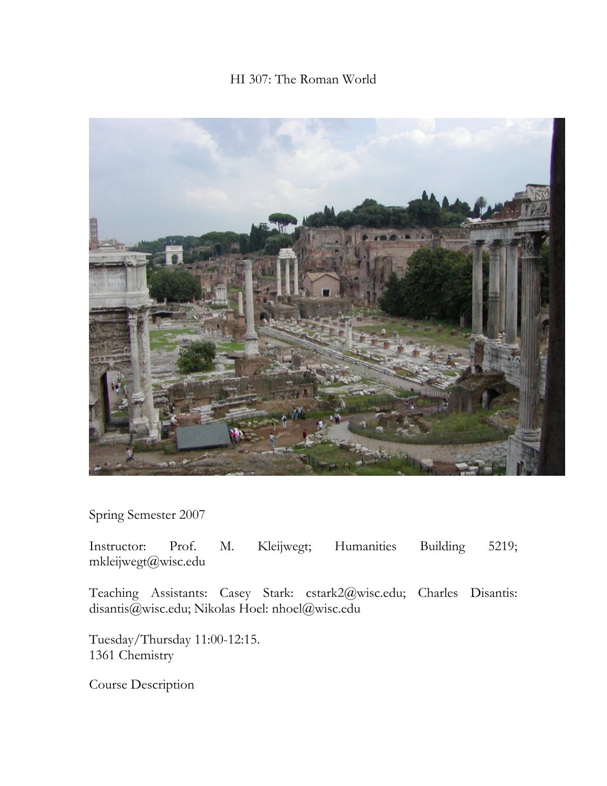# HI 307: The Roman World



Spring Semester 2007

Instructor: Prof. M. Kleijwegt; Humanities Building 5219; mkleijwegt@wisc.edu

Teaching Assistants: Casey Stark: cstark2@wisc.edu; Charles Disantis: disantis@wisc.edu; Nikolas Hoel: nhoel@wisc.edu

Tuesday/Thursday 11:00-12:15. 1361 Chemistry

Course Description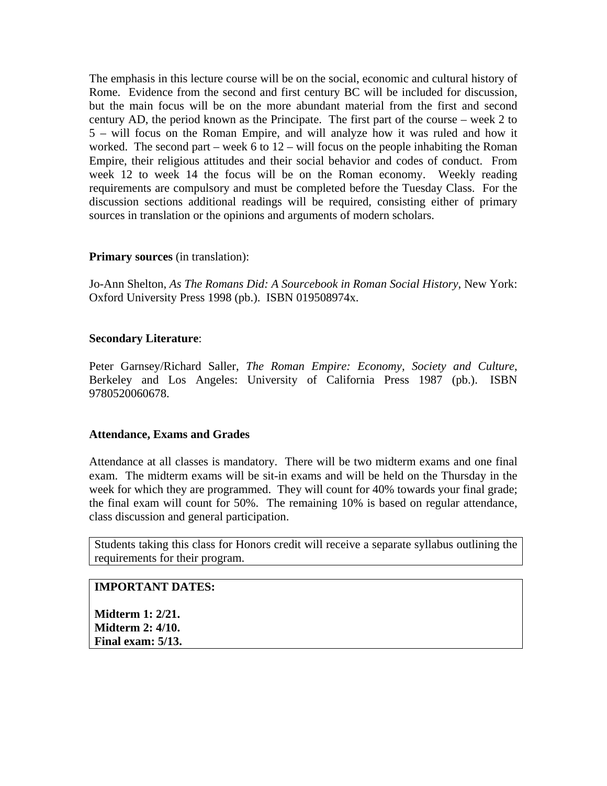The emphasis in this lecture course will be on the social, economic and cultural history of Rome. Evidence from the second and first century BC will be included for discussion, but the main focus will be on the more abundant material from the first and second century AD, the period known as the Principate. The first part of the course – week 2 to 5 – will focus on the Roman Empire, and will analyze how it was ruled and how it worked. The second part – week 6 to  $12$  – will focus on the people inhabiting the Roman Empire, their religious attitudes and their social behavior and codes of conduct. From week 12 to week 14 the focus will be on the Roman economy. Weekly reading requirements are compulsory and must be completed before the Tuesday Class. For the discussion sections additional readings will be required, consisting either of primary sources in translation or the opinions and arguments of modern scholars.

#### **Primary sources** (in translation):

Jo-Ann Shelton, *As The Romans Did: A Sourcebook in Roman Social History*, New York: Oxford University Press 1998 (pb.). ISBN 019508974x.

### **Secondary Literature**:

Peter Garnsey/Richard Saller, *The Roman Empire: Economy, Society and Culture*, Berkeley and Los Angeles: University of California Press 1987 (pb.). ISBN 9780520060678.

#### **Attendance, Exams and Grades**

Attendance at all classes is mandatory. There will be two midterm exams and one final exam. The midterm exams will be sit-in exams and will be held on the Thursday in the week for which they are programmed. They will count for 40% towards your final grade; the final exam will count for 50%. The remaining 10% is based on regular attendance, class discussion and general participation.

Students taking this class for Honors credit will receive a separate syllabus outlining the requirements for their program.

#### **IMPORTANT DATES:**

**Midterm 1: 2/21. Midterm 2: 4/10. Final exam: 5/13.**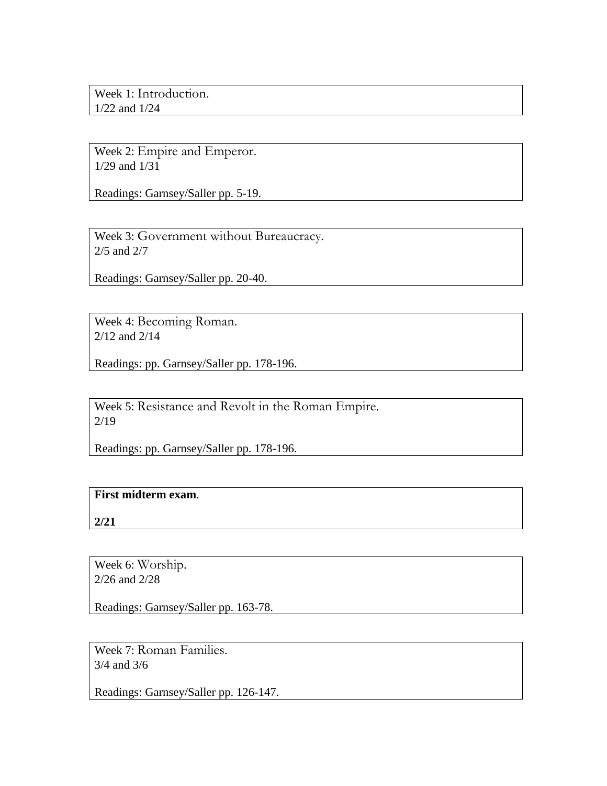Week 1: Introduction. 1/22 and 1/24

Week 2: Empire and Emperor. 1/29 and 1/31

Readings: Garnsey/Saller pp. 5-19.

Week 3: Government without Bureaucracy. 2/5 and 2/7

Readings: Garnsey/Saller pp. 20-40.

Week 4: Becoming Roman. 2/12 and 2/14

Readings: pp. Garnsey/Saller pp. 178-196.

Week 5: Resistance and Revolt in the Roman Empire. 2/19

Readings: pp. Garnsey/Saller pp. 178-196.

## **First midterm exam**.

**2/21** 

Week 6: Worship. 2/26 and 2/28

Readings: Garnsey/Saller pp. 163-78.

Week 7: Roman Families. 3/4 and 3/6

Readings: Garnsey/Saller pp. 126-147.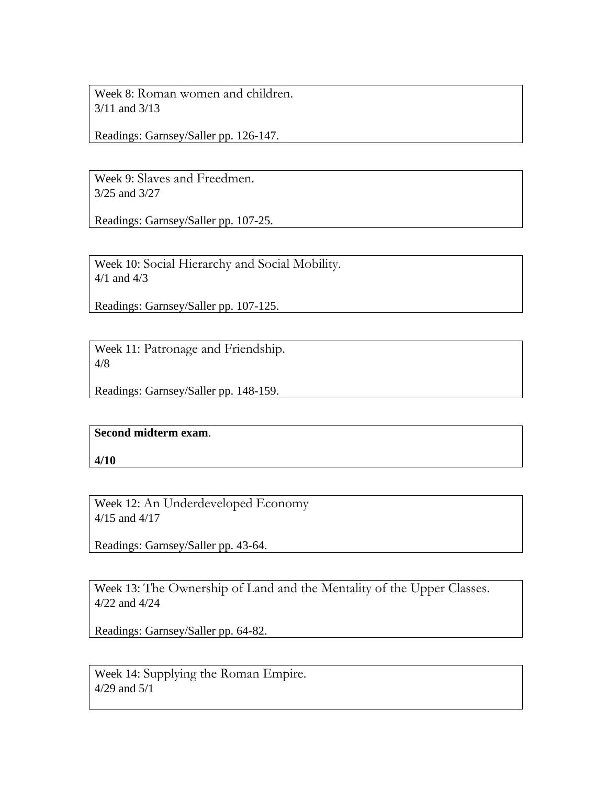Week 8: Roman women and children. 3/11 and 3/13

Readings: Garnsey/Saller pp. 126-147.

Week 9: Slaves and Freedmen. 3/25 and 3/27

Readings: Garnsey/Saller pp. 107-25.

Week 10: Social Hierarchy and Social Mobility. 4/1 and 4/3

Readings: Garnsey/Saller pp. 107-125.

Week 11: Patronage and Friendship. 4/8

Readings: Garnsey/Saller pp. 148-159.

**Second midterm exam**.

**4/10**

Week 12: An Underdeveloped Economy 4/15 and 4/17

Readings: Garnsey/Saller pp. 43-64.

Week 13: The Ownership of Land and the Mentality of the Upper Classes. 4/22 and 4/24

Readings: Garnsey/Saller pp. 64-82.

Week 14: Supplying the Roman Empire. 4/29 and 5/1